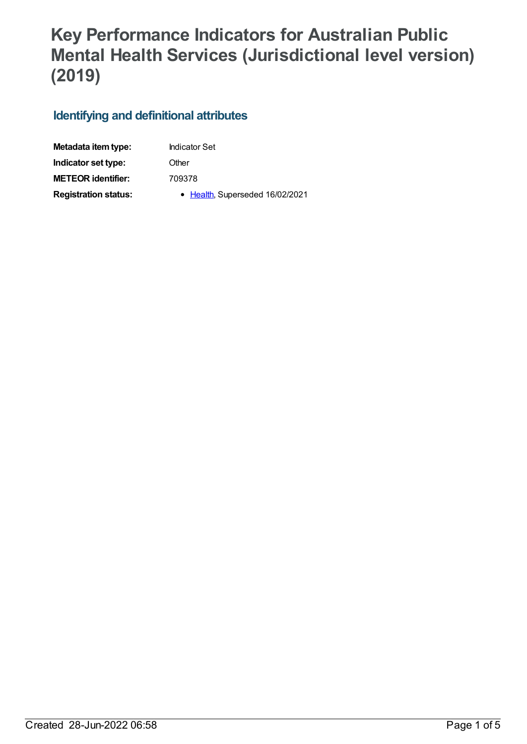## **Key Performance Indicators for Australian Public Mental Health Services (Jurisdictional level version) (2019)**

## **Identifying and definitional attributes**

| Metadata item type:         | <b>Indicator Set</b>            |
|-----------------------------|---------------------------------|
| Indicator set type:         | Other                           |
| <b>METEOR identifier:</b>   | 709378                          |
| <b>Registration status:</b> | • Health, Superseded 16/02/2021 |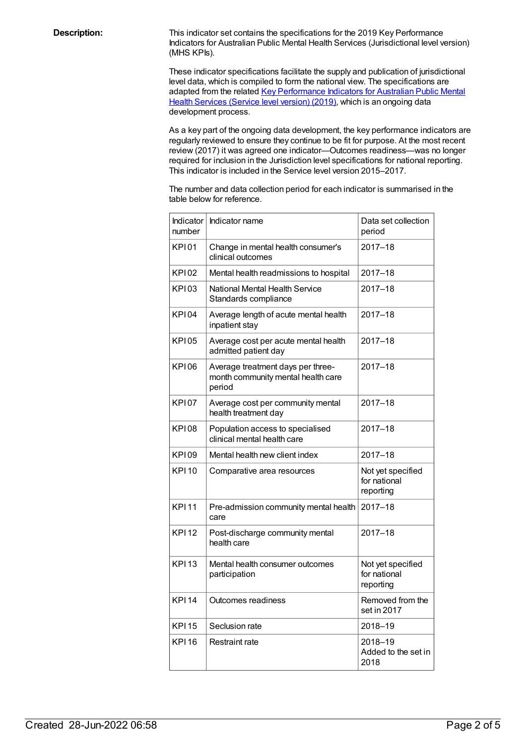**Description:** This indicator set contains the specifications for the 2019 Key Performance Indicators for Australian Public Mental Health Services (Jurisdictional level version) (MHS KPIs).

> These indicator specifications facilitate the supply and publication of jurisdictional level data, which is compiled to form the national view. The specifications are adapted from the related Key [Performance](file:///content/712066) Indicators for Australian Public Mental Health Services (Service level version) (2019), which is an ongoing data development process.

As a key part of the ongoing data development, the key performance indicators are regularly reviewed to ensure they continue to be fit for purpose. At the most recent review (2017) it was agreed one indicator—Outcomes readiness—was no longer required for inclusion in the Jurisdiction level specifications for national reporting. This indicator is included in the Service level version 2015–2017.

The number and data collection period for each indicator is summarised in the table below for reference.

| Indicator<br>number | Indicator name                                                                    | Data set collection<br>period                  |
|---------------------|-----------------------------------------------------------------------------------|------------------------------------------------|
| KPI01               | Change in mental health consumer's<br>clinical outcomes                           | $2017 - 18$                                    |
| <b>KPI02</b>        | Mental health readmissions to hospital                                            | $2017 - 18$                                    |
| <b>KP103</b>        | National Mental Health Service<br>Standards compliance                            | $2017 - 18$                                    |
| <b>KPI04</b>        | Average length of acute mental health<br>inpatient stay                           | $2017 - 18$                                    |
| <b>KPI05</b>        | Average cost per acute mental health<br>admitted patient day                      | $2017 - 18$                                    |
| KP106               | Average treatment days per three-<br>month community mental health care<br>period | $2017 - 18$                                    |
| <b>KP107</b>        | Average cost per community mental<br>health treatment day                         | $2017 - 18$                                    |
| KPI08               | Population access to specialised<br>clinical mental health care                   | $2017 - 18$                                    |
| KP109               | Mental health new client index                                                    | $2017 - 18$                                    |
| <b>KPI10</b>        | Comparative area resources                                                        | Not yet specified<br>for national<br>reporting |
| <b>KPI11</b>        | Pre-admission community mental health<br>care                                     | $2017 - 18$                                    |
| <b>KPI12</b>        | Post-discharge community mental<br>health care                                    | $2017 - 18$                                    |
| <b>KPI13</b>        | Mental health consumer outcomes<br>participation                                  | Not yet specified<br>for national<br>reporting |
| <b>KPI14</b>        | Outcomes readiness                                                                | Removed from the<br>set in 2017                |
| <b>KPI15</b>        | Seclusion rate                                                                    | 2018-19                                        |
| <b>KPI16</b>        | <b>Restraint rate</b>                                                             | 2018-19<br>Added to the set in<br>2018         |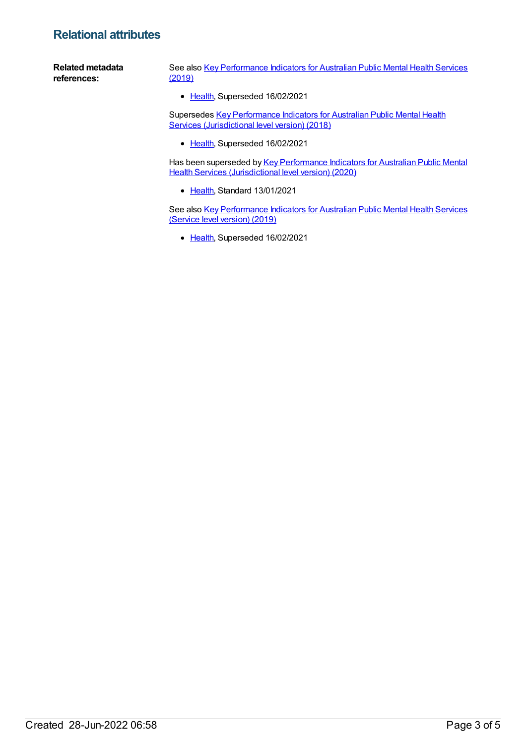## **Relational attributes**

**Related metadata references:** See also Key [Performance](https://meteor.aihw.gov.au/content/709376) Indicators for Australian Public Mental Health Services (2019) • [Health](https://meteor.aihw.gov.au/RegistrationAuthority/12), Superseded 16/02/2021

Supersedes Key [Performance](https://meteor.aihw.gov.au/content/693022) Indicators for Australian Public Mental Health Services (Jurisdictional level version) (2018)

• [Health](https://meteor.aihw.gov.au/RegistrationAuthority/12), Superseded 16/02/2021

Has been superseded by Key [Performance](https://meteor.aihw.gov.au/content/720487) Indicators for Australian Public Mental Health Services (Jurisdictional level version) (2020)

• [Health](https://meteor.aihw.gov.au/RegistrationAuthority/12), Standard 13/01/2021

See also Key [Performance](https://meteor.aihw.gov.au/content/712066) Indicators for Australian Public Mental Health Services (Service level version) (2019)

• [Health](https://meteor.aihw.gov.au/RegistrationAuthority/12), Superseded 16/02/2021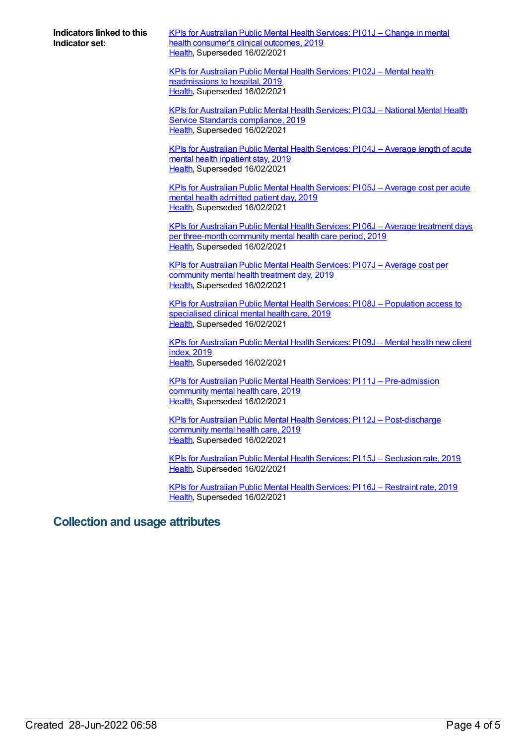**Indicators linked to this Indicator set:**

KPIs for [Australian](https://meteor.aihw.gov.au/content/709398) Public Mental Health Services: PI 01J – Change in mental health consumer's clinical outcomes, 2019 [Health](https://meteor.aihw.gov.au/RegistrationAuthority/12), Superseded 16/02/2021

KPIs for Australian Public Mental Health Services: PI 02J – Mental health [readmissions](https://meteor.aihw.gov.au/content/709394) to hospital, 2019 [Health](https://meteor.aihw.gov.au/RegistrationAuthority/12), Superseded 16/02/2021

KPIs for [Australian](https://meteor.aihw.gov.au/content/709392) Public Mental Health Services: PI 03J – National Mental Health Service Standards compliance, 2019 [Health](https://meteor.aihw.gov.au/RegistrationAuthority/12), Superseded 16/02/2021

KPIs for [Australian](https://meteor.aihw.gov.au/content/709403) Public Mental Health Services: PI 04J – Average length of acute mental health inpatient stay, 2019 [Health](https://meteor.aihw.gov.au/RegistrationAuthority/12), Superseded 16/02/2021

KPIs for [Australian](https://meteor.aihw.gov.au/content/709407) Public Mental Health Services: PI 05J – Average cost per acute mental health admitted patient day, 2019 [Health](https://meteor.aihw.gov.au/RegistrationAuthority/12), Superseded 16/02/2021

KPIs for Australian Public Mental Health Services: PI 06J – Average treatment days per [three-month](https://meteor.aihw.gov.au/content/709400) community mental health care period, 2019 [Health](https://meteor.aihw.gov.au/RegistrationAuthority/12), Superseded 16/02/2021

KPIs for [Australian](https://meteor.aihw.gov.au/content/709405) Public Mental Health Services: PI 07J – Average cost per community mental health treatment day, 2019 [Health](https://meteor.aihw.gov.au/RegistrationAuthority/12), Superseded 16/02/2021

KPIs for Australian Public Mental Health Services: PI 08J – [Population](https://meteor.aihw.gov.au/content/709390) access to specialised clinical mental health care, 2019 [Health](https://meteor.aihw.gov.au/RegistrationAuthority/12), Superseded 16/02/2021

KPIs for [Australian](https://meteor.aihw.gov.au/content/709396) Public Mental Health Services: PI 09J – Mental health new client index, 2019 [Health](https://meteor.aihw.gov.au/RegistrationAuthority/12), Superseded 16/02/2021

KPIs for Australian Public Mental Health Services: PI 11J – [Pre-admission](https://meteor.aihw.gov.au/content/709384) community mental health care, 2019 [Health](https://meteor.aihw.gov.au/RegistrationAuthority/12), Superseded 16/02/2021

KPIs for Australian Public Mental Health Services: PI 12J – [Post-discharge](https://meteor.aihw.gov.au/content/709386) community mental health care, 2019 [Health](https://meteor.aihw.gov.au/RegistrationAuthority/12), Superseded 16/02/2021

KPIs for [Australian](https://meteor.aihw.gov.au/content/709380) Public Mental Health Services: PI 15J – Seclusion rate, 2019 [Health](https://meteor.aihw.gov.au/RegistrationAuthority/12), Superseded 16/02/2021

KPIs for [Australian](https://meteor.aihw.gov.au/content/709382) Public Mental Health Services: PI 16J – Restraint rate, 2019 [Health](https://meteor.aihw.gov.au/RegistrationAuthority/12), Superseded 16/02/2021

## **Collection and usage attributes**